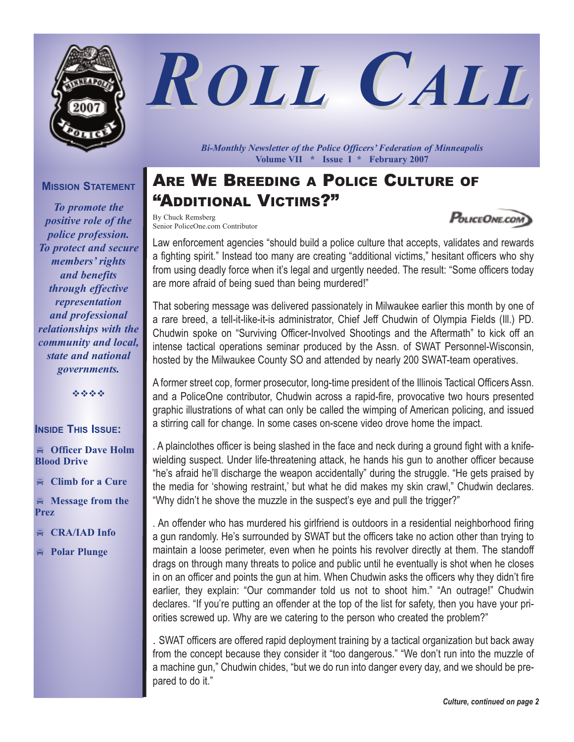

# *ROLL CALL*

**MISSION STATEMENT**

*To promote the positive role of the police profession. To protect and secure members' rights and benefits through effective representation and professional relationships with the community and local, state and national governments.*

----

#### **INSIDE THIS ISSUE:**

- **Officer Dave Holm Blood Drive**

 $\ddot{=}$ **Climb for a Cure**

 $\approx$  **Message** from the **Prez**

 $\ddot{=}$ **CRA/IAD Info**

- **Polar Plunge**

*Bi-Monthly Newsletter of the Police Officers' Federation of Minneapolis* **Volume VII \* Issue I \* February 2007**

## ARE WE BREEDING A POLICE CULTURE OF "ADDITIONAL VICTIMS?"

By Chuck Remsberg Senior PoliceOne.com Contributor

Law enforcement agencies "should build a police culture that accepts, validates and rewards a fighting spirit." Instead too many are creating "additional victims," hesitant officers who shy from using deadly force when it's legal and urgently needed. The result: "Some officers today are more afraid of being sued than being murdered!"

That sobering message was delivered passionately in Milwaukee earlier this month by one of a rare breed, a tell-it-like-it-is administrator, Chief Jeff Chudwin of Olympia Fields (Ill.) PD. Chudwin spoke on "Surviving Officer-Involved Shootings and the Aftermath" to kick off an intense tactical operations seminar produced by the Assn. of SWAT Personnel-Wisconsin, hosted by the Milwaukee County SO and attended by nearly 200 SWAT-team operatives.

A former street cop, former prosecutor, long-time president of the Illinois Tactical Officers Assn. and a PoliceOne contributor, Chudwin across a rapid-fire, provocative two hours presented graphic illustrations of what can only be called the wimping of American policing, and issued a stirring call for change. In some cases on-scene video drove home the impact.

. A plainclothes officer is being slashed in the face and neck during a ground fight with a knifewielding suspect. Under life-threatening attack, he hands his gun to another officer because "he's afraid he'll discharge the weapon accidentally" during the struggle. "He gets praised by the media for 'showing restraint,' but what he did makes my skin crawl," Chudwin declares. "Why didn't he shove the muzzle in the suspect's eye and pull the trigger?"

. An offender who has murdered his girlfriend is outdoors in a residential neighborhood firing a gun randomly. He's surrounded by SWAT but the officers take no action other than trying to maintain a loose perimeter, even when he points his revolver directly at them. The standoff drags on through many threats to police and public until he eventually is shot when he closes in on an officer and points the gun at him. When Chudwin asks the officers why they didn't fire earlier, they explain: "Our commander told us not to shoot him." "An outrage!" Chudwin declares. "If you're putting an offender at the top of the list for safety, then you have your priorities screwed up. Why are we catering to the person who created the problem?"

. SWAT officers are offered rapid deployment training by a tactical organization but back away from the concept because they consider it "too dangerous." "We don't run into the muzzle of a machine gun," Chudwin chides, "but we do run into danger every day, and we should be prepared to do it."

POLICEONE.COM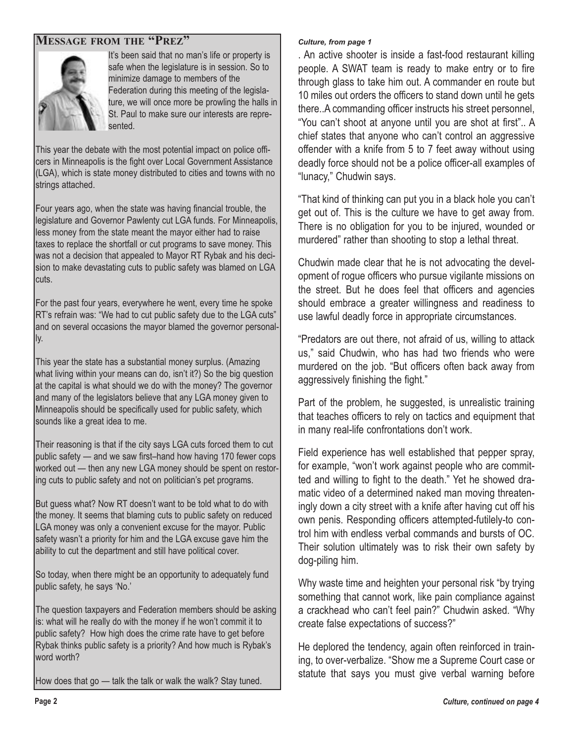#### **MESSAGE FROM THE "PREZ"**



It's been said that no man's life or property is safe when the legislature is in session. So to minimize damage to members of the Federation during this meeting of the legislature, we will once more be prowling the halls in St. Paul to make sure our interests are represented.

This year the debate with the most potential impact on police officers in Minneapolis is the fight over Local Government Assistance (LGA), which is state money distributed to cities and towns with no strings attached.

Four years ago, when the state was having financial trouble, the legislature and Governor Pawlenty cut LGA funds. For Minneapolis, less money from the state meant the mayor either had to raise taxes to replace the shortfall or cut programs to save money. This was not a decision that appealed to Mayor RT Rybak and his decision to make devastating cuts to public safety was blamed on LGA lcuts.

For the past four years, everywhere he went, every time he spoke RT's refrain was: "We had to cut public safety due to the LGA cuts" and on several occasions the mayor blamed the governor personally.

This year the state has a substantial money surplus. (Amazing what living within your means can do, isn't it?) So the big question at the capital is what should we do with the money? The governor and many of the legislators believe that any LGA money given to Minneapolis should be specifically used for public safety, which sounds like a great idea to me.

Their reasoning is that if the city says LGA cuts forced them to cut public safety — and we saw first–hand how having 170 fewer cops worked out — then any new LGA money should be spent on restoring cuts to public safety and not on politician's pet programs.

But guess what? Now RT doesn't want to be told what to do with the money. It seems that blaming cuts to public safety on reduced LGA money was only a convenient excuse for the mayor. Public safety wasn't a priority for him and the LGA excuse gave him the ability to cut the department and still have political cover.

So today, when there might be an opportunity to adequately fund public safety, he says 'No.'

The question taxpayers and Federation members should be asking is: what will he really do with the money if he won't commit it to public safety? How high does the crime rate have to get before Rybak thinks public safety is a priority? And how much is Rybak's word worth?

How does that go — talk the talk or walk the walk? Stay tuned.

#### *Culture, from page 1*

. An active shooter is inside a fast-food restaurant killing people. A SWAT team is ready to make entry or to fire through glass to take him out. A commander en route but 10 miles out orders the officers to stand down until he gets there..A commanding officer instructs his street personnel, "You can't shoot at anyone until you are shot at first".. A chief states that anyone who can't control an aggressive offender with a knife from 5 to 7 feet away without using deadly force should not be a police officer-all examples of "lunacy," Chudwin says.

"That kind of thinking can put you in a black hole you can't get out of. This is the culture we have to get away from. There is no obligation for you to be injured, wounded or murdered" rather than shooting to stop a lethal threat.

Chudwin made clear that he is not advocating the development of rogue officers who pursue vigilante missions on the street. But he does feel that officers and agencies should embrace a greater willingness and readiness to use lawful deadly force in appropriate circumstances.

"Predators are out there, not afraid of us, willing to attack us," said Chudwin, who has had two friends who were murdered on the job. "But officers often back away from aggressively finishing the fight."

Part of the problem, he suggested, is unrealistic training that teaches officers to rely on tactics and equipment that in many real-life confrontations don't work.

Field experience has well established that pepper spray, for example, "won't work against people who are committed and willing to fight to the death." Yet he showed dramatic video of a determined naked man moving threateningly down a city street with a knife after having cut off his own penis. Responding officers attempted-futilely-to control him with endless verbal commands and bursts of OC. Their solution ultimately was to risk their own safety by dog-piling him.

Why waste time and heighten your personal risk "by trying something that cannot work, like pain compliance against a crackhead who can't feel pain?" Chudwin asked. "Why create false expectations of success?"

He deplored the tendency, again often reinforced in training, to over-verbalize. "Show me a Supreme Court case or statute that says you must give verbal warning before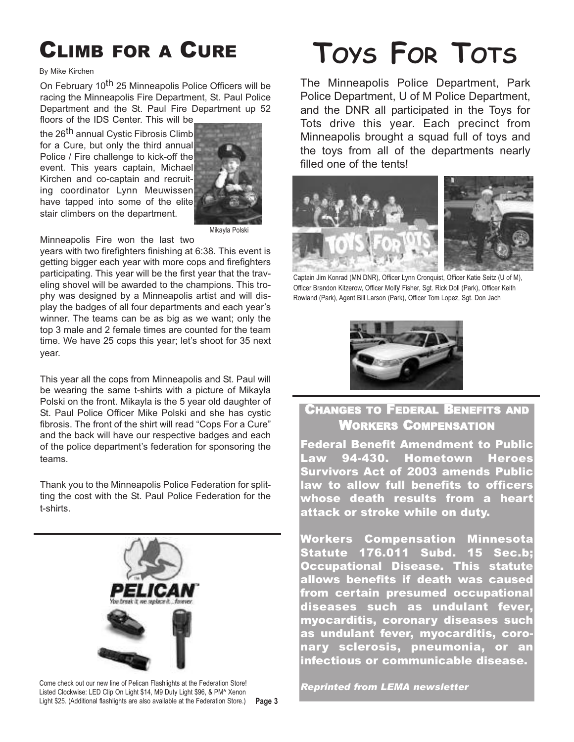## CLIMB FOR A CURE

#### By Mike Kirchen

On February 10<sup>th</sup> 25 Minneapolis Police Officers will be racing the Minneapolis Fire Department, St. Paul Police Department and the St. Paul Fire Department up 52 floors of the IDS Center. This will be

the 26<sup>th</sup> annual Cystic Fibrosis Climb for a Cure, but only the third annual Police / Fire challenge to kick-off the event. This years captain, Michael Kirchen and co-captain and recruiting coordinator Lynn Meuwissen have tapped into some of the elite stair climbers on the department.



Mikayla Polski

Minneapolis Fire won the last two

years with two firefighters finishing at 6:38. This event is getting bigger each year with more cops and firefighters participating. This year will be the first year that the traveling shovel will be awarded to the champions. This trophy was designed by a Minneapolis artist and will display the badges of all four departments and each year's winner. The teams can be as big as we want; only the top 3 male and 2 female times are counted for the team time. We have 25 cops this year; let's shoot for 35 next year.

This year all the cops from Minneapolis and St. Paul will be wearing the same t-shirts with a picture of Mikayla Polski on the front. Mikayla is the 5 year old daughter of St. Paul Police Officer Mike Polski and she has cystic fibrosis. The front of the shirt will read "Cops For a Cure" and the back will have our respective badges and each of the police department's federation for sponsoring the teams.

Thank you to the Minneapolis Police Federation for splitting the cost with the St. Paul Police Federation for the t-shirts.



Light \$25. (Additional flashlights are also available at the Federation Store.) **Page 3** Come check out our new line of Pelican Flashlights at the Federation Store! Listed Clockwise: LED Clip On Light \$14, M9 Duty Light \$96, & PM^ Xenon

# **TOYS FOR TOTS**

The Minneapolis Police Department, Park Police Department, U of M Police Department, and the DNR all participated in the Toys for Tots drive this year. Each precinct from Minneapolis brought a squad full of toys and the toys from all of the departments nearly filled one of the tents!



Captain Jim Konrad (MN DNR), Officer Lynn Cronquist, Officer Katie Seitz (U of M), Officer Brandon Kitzerow, Officer Molly Fisher, Sgt. Rick Doll (Park), Officer Keith Rowland (Park), Agent Bill Larson (Park), Officer Tom Lopez, Sgt. Don Jach



#### CHANGES TO FEDERAL BENEFITS AND WORKERS COMPENSATION

Federal Benefit Amendment to Public Law 94-430. Hometown Heroes Survivors Act of 2003 amends Public law to allow full benefits to officers whose death results from a heart attack or stroke while on duty.

Workers Compensation Minnesota Statute 176.011 Subd. 15 Sec.b; Occupational Disease. This statute allows benefits if death was caused from certain presumed occupational diseases such as undulant fever, myocarditis, coronary diseases such as undulant fever, myocarditis, coronary sclerosis, pneumonia, or an infectious or communicable disease.

*Reprinted from LEMA newsletter*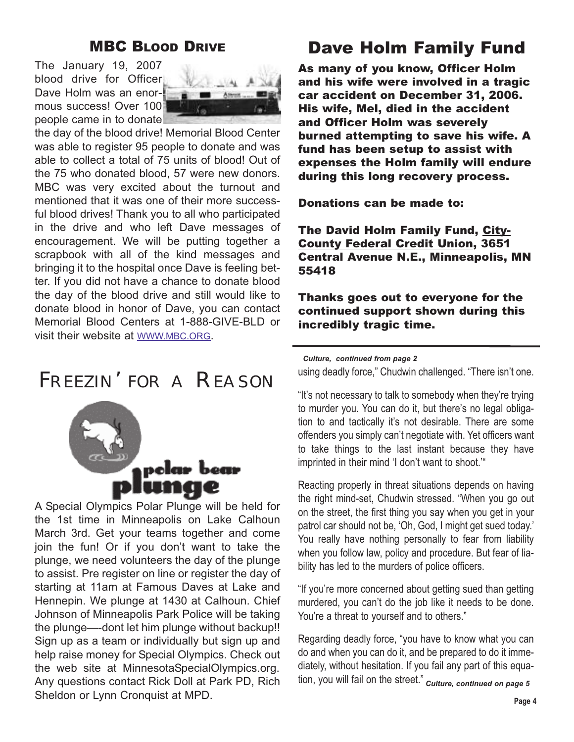#### MBC BLOOD DRIVE

The January 19, 2007 blood drive for Officer Dave Holm was an enormous success! Over 100 people came in to donate



the day of the blood drive! Memorial Blood Center was able to register 95 people to donate and was able to collect a total of 75 units of blood! Out of the 75 who donated blood, 57 were new donors. MBC was very excited about the turnout and mentioned that it was one of their more successful blood drives! Thank you to all who participated in the drive and who left Dave messages of encouragement. We will be putting together a scrapbook with all of the kind messages and bringing it to the hospital once Dave is feeling better. If you did not have a chance to donate blood the day of the blood drive and still would like to donate blood in honor of Dave, you can contact Memorial Blood Centers at 1-888-GIVE-BLD or visit their website at WWW.MBC.ORG.

## FREEZIN' FOR A REASON



A Special Olympics Polar Plunge will be held for the 1st time in Minneapolis on Lake Calhoun March 3rd. Get your teams together and come join the fun! Or if you don't want to take the plunge, we need volunteers the day of the plunge to assist. Pre register on line or register the day of starting at 11am at Famous Daves at Lake and Hennepin. We plunge at 1430 at Calhoun. Chief Johnson of Minneapolis Park Police will be taking the plunge—-dont let him plunge without backup!! Sign up as a team or individually but sign up and help raise money for Special Olympics. Check out the web site at MinnesotaSpecialOlympics.org. Any questions contact Rick Doll at Park PD, Rich Sheldon or Lynn Cronquist at MPD.

### Dave Holm Family Fund

As many of you know, Officer Holm and his wife were involved in a tragic car accident on December 31, 2006. His wife, Mel, died in the accident and Officer Holm was severely burned attempting to save his wife. A fund has been setup to assist with expenses the Holm family will endure during this long recovery process.

Donations can be made to:

The David Holm Family Fund, City-County Federal Credit Union, 3651 Central Avenue N.E., Minneapolis, MN 55418

Thanks goes out to everyone for the continued support shown during this incredibly tragic time.

using deadly force," Chudwin challenged. "There isn't one. *Culture, continued from page 2*

"It's not necessary to talk to somebody when they're trying to murder you. You can do it, but there's no legal obligation to and tactically it's not desirable. There are some offenders you simply can't negotiate with. Yet officers want to take things to the last instant because they have imprinted in their mind 'I don't want to shoot.'"

Reacting properly in threat situations depends on having the right mind-set, Chudwin stressed. "When you go out on the street, the first thing you say when you get in your patrol car should not be, 'Oh, God, I might get sued today.' You really have nothing personally to fear from liability when you follow law, policy and procedure. But fear of liability has led to the murders of police officers.

"If you're more concerned about getting sued than getting murdered, you can't do the job like it needs to be done. You're a threat to yourself and to others."

Regarding deadly force, "you have to know what you can do and when you can do it, and be prepared to do it immediately, without hesitation. If you fail any part of this equation, you will fail on the street." *Culture, continued on page 5*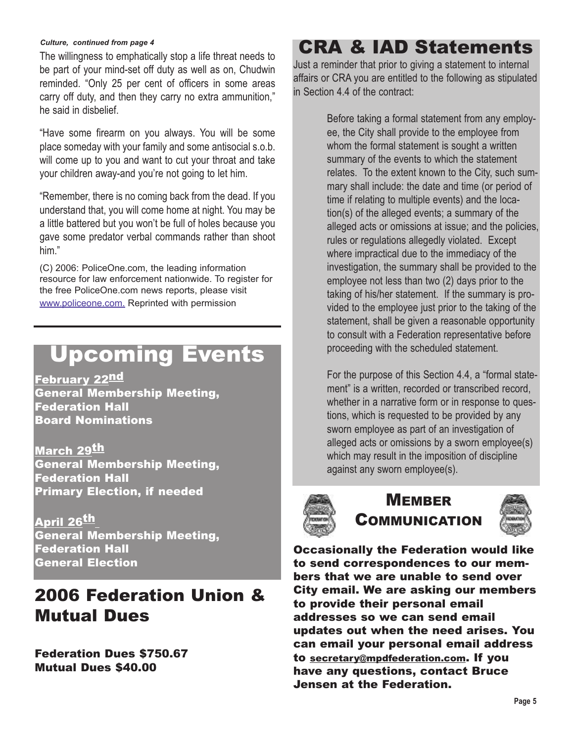#### *Culture, continued from page 4*

The willingness to emphatically stop a life threat needs to be part of your mind-set off duty as well as on, Chudwin reminded. "Only 25 per cent of officers in some areas carry off duty, and then they carry no extra ammunition," he said in disbelief.

"Have some firearm on you always. You will be some place someday with your family and some antisocial s.o.b. will come up to you and want to cut your throat and take your children away-and you're not going to let him.

"Remember, there is no coming back from the dead. If you understand that, you will come home at night. You may be a little battered but you won't be full of holes because you gave some predator verbal commands rather than shoot him."

(C) 2006: PoliceOne.com, the leading information resource for law enforcement nationwide. To register for the free PoliceOne.com news reports, please visit www.policeone.com. Reprinted with permission

## Upcoming Events

Februarv 22<sup>nd</sup> General Membership Meeting, Federation Hall Board Nominations

March 29<sup>th</sup> General Membership Meeting, Federation Hall Primary Election, if needed

April 26<sup>th</sup> General Membership Meeting, Federation Hall General Election

## 2006 Federation Union & Mutual Dues

Federation Dues \$750.67 Mutual Dues \$40.00

## CRA & IAD Statements

Just a reminder that prior to giving a statement to internal affairs or CRA you are entitled to the following as stipulated in Section 4.4 of the contract:

> Before taking a formal statement from any employee, the City shall provide to the employee from whom the formal statement is sought a written summary of the events to which the statement relates. To the extent known to the City, such summary shall include: the date and time (or period of time if relating to multiple events) and the location(s) of the alleged events; a summary of the alleged acts or omissions at issue; and the policies, rules or regulations allegedly violated. Except where impractical due to the immediacy of the investigation, the summary shall be provided to the employee not less than two (2) days prior to the taking of his/her statement. If the summary is provided to the employee just prior to the taking of the statement, shall be given a reasonable opportunity to consult with a Federation representative before proceeding with the scheduled statement.

> For the purpose of this Section 4.4, a "formal statement" is a written, recorded or transcribed record, whether in a narrative form or in response to questions, which is requested to be provided by any sworn employee as part of an investigation of alleged acts or omissions by a sworn employee(s) which may result in the imposition of discipline against any sworn employee(s).



#### **MEMBER** COMMUNICATION



Occasionally the Federation would like to send correspondences to our members that we are unable to send over City email. We are asking our members to provide their personal email addresses so we can send email updates out when the need arises. You can email your personal email address to secretary@mpdfederation.com. If you have any questions, contact Bruce Jensen at the Federation.